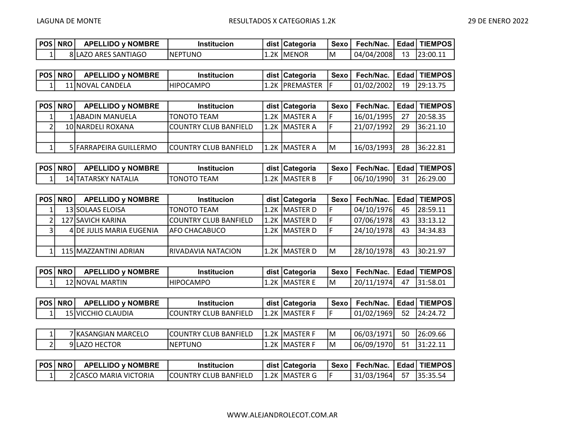| ' POS   NRO | <b>APELLIDO y NOMBRE</b> | <b>Institucion</b> |      | dist   Categoria | Sexo | Fech/Nac.  | Edad | 'TIEMPOS |
|-------------|--------------------------|--------------------|------|------------------|------|------------|------|----------|
|             | 8 LAZO ARES SANTIAGO     | INEPTUNO           | 1.2K | <b>IMENOR</b>    | IM   | 04/04/2008 | 13   | 23:00.11 |

| POS   NRO | <b>APELLIDO y NOMBRE</b> | <b>Institucion</b> | dist   Categoria | Sexo | Fech/Nac.  |    | Edad   TIEMPOS |
|-----------|--------------------------|--------------------|------------------|------|------------|----|----------------|
|           | 11 INOVAL CANDELA        | HIPOCAMPO          | 1.2K IPREMASTER  |      | 01/02/2002 | 19 | 129:13.75      |

| <b>POS   NRO  </b> | <b>APELLIDO y NOMBRE</b> | <b>Institucion</b>            | dist   Categoria | Sexo | Fech/Nac.  |    | Edad   TIEMPOS |
|--------------------|--------------------------|-------------------------------|------------------|------|------------|----|----------------|
|                    | 1 ABADIN MANUELA         | <b>ITONOTO TEAM</b>           | l1.2K lMASTER A  |      | 16/01/1995 | 27 | 120:58.35      |
|                    | 10 NARDELI ROXANA        | ICOUNTRY CLUB BANFIELD        | 1.2K MASTER A    |      | 21/07/1992 | 29 | 36:21.10       |
|                    |                          |                               |                  |      |            |    |                |
|                    | 5 FARRAPEIRA GUILLERMO   | <b>ICOUNTRY CLUB BANFIELD</b> | l1.2K lMASTER A  | IM   | 16/03/1993 | 28 | 36:22.81       |

| <b>POS   NRO  </b> | <b>APELLIDO y NOMBRE</b> | <b>Institucion</b> | dist   Categoria | Sexo I | Fech/Nac.   Edad   TIEMPOS |      |           |
|--------------------|--------------------------|--------------------|------------------|--------|----------------------------|------|-----------|
|                    | 14 ITATARSKY NATALIA     | TONOTO TEAM        | 1.2K IMASTER B   |        | 06/10/1990                 | - 31 | 126:29.00 |

| <b>POS NRO</b> | <b>APELLIDO y NOMBRE</b> | <b>Institucion</b>           | dist   Categoria | Sexo | Fech/Nac.   Edad   TIEMPOS |    |           |
|----------------|--------------------------|------------------------------|------------------|------|----------------------------|----|-----------|
|                | 13 SOLAAS ELOISA         | <b>ITONOTO TEAM</b>          | 1.2K MASTER D    |      | 04/10/1976                 | 45 | 28:59.11  |
|                | 127 SAVICH KARINA        | <b>COUNTRY CLUB BANFIELD</b> | 1.2K  MASTER D   |      | 07/06/1978                 | 43 | 133:13.12 |
|                | 4 DE JULIS MARIA EUGENIA | IAFO CHACABUCO               | l1.2K lMASTER D  |      | 24/10/1978                 | 43 | 34:34.83  |
|                |                          |                              |                  |      |                            |    |           |
|                | 115 MAZZANTINI ADRIAN    | IRIVADAVIA NATACION          | 1.2K  MASTER D   | ΙM   | 28/10/1978                 | 43 | 30:21.97  |

| POS | <b>NRO</b> | <b>APELLIDO y NOMBRE</b> | <b>Institucion</b> |      | dist Categoria | Sexo | Fech/Nac.  |    | <b>Edad   TIEMPOS  </b> |
|-----|------------|--------------------------|--------------------|------|----------------|------|------------|----|-------------------------|
|     |            | 12 NOVAL MARTIN          | IHIPOCAMPO         | 1.2K | IMASTER        | IM   | 20/11/1974 | 47 | 31:58.01                |

| <b>POS   NRO  </b> | <b>APELLIDO y NOMBRE</b> | <b>Institucion</b>     | dist   Categoria | Sexo   Fech/Nac.         | <b>Edad   TIEMPOS</b> |
|--------------------|--------------------------|------------------------|------------------|--------------------------|-----------------------|
|                    | 15 IVICCHIO CLAUDIA      | ICOUNTRY CLUB BANFIELD | 11.2K IMASTER F  | 01/02/1969  52  24:24.72 |                       |

|                          | 7 KASANGIAN MARCELO      | <b>COUNTRY CLUB BANFIELD</b> | 1.2K | <b>IMASTER F</b> | ΙM | 06/03/<br>/1971 | 50 | 26:09.66                          |
|--------------------------|--------------------------|------------------------------|------|------------------|----|-----------------|----|-----------------------------------|
| $\overline{\phantom{0}}$ | <b>HECTOR</b><br>9 ILAZO | INEPTUNO                     | 1.2K | <b>IMASTER F</b> | ΙM | 06/09/1970      | 51 | $\cdot$ ววาง $\cdot$<br>131:22.11 |

| POS   NRO | <b>APELLIDO v NOMBRE</b> | <b>Institucion</b>            | dist   Categoria | <b>Sexo</b> | Fech/Nac.   Edad   TIEMPOS |             |
|-----------|--------------------------|-------------------------------|------------------|-------------|----------------------------|-------------|
|           | 2 CASCO MARIA VICTORIA   | <b>ICOUNTRY CLUB BANFIELD</b> | 11.2K IMASTER G  |             | 31/03/1964                 | 57 35:35.54 |

WWW.ALEJANDROLECOT.COM.AR